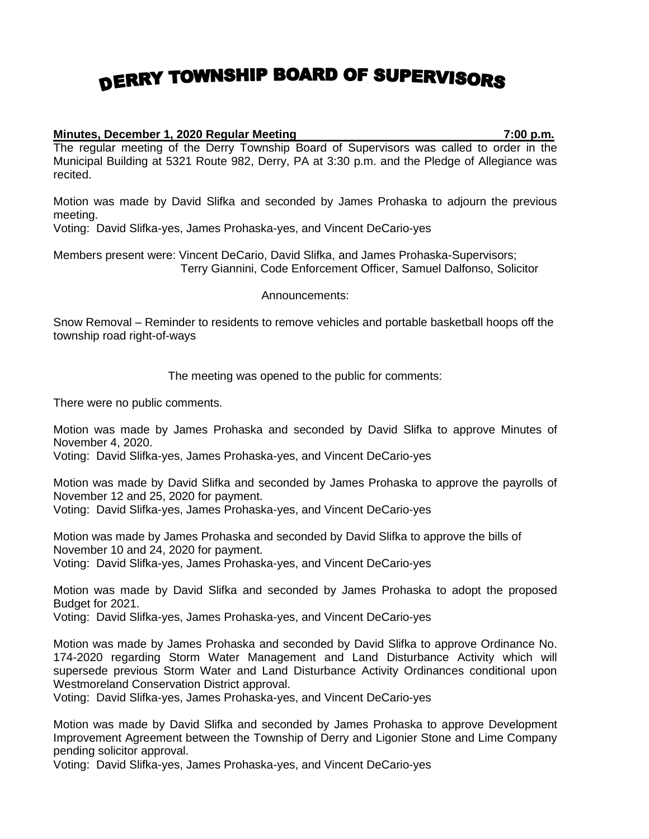## DERRY TOWNSHIP BOARD OF SUPERVISORS

## **Minutes, December 1, 2020 Regular Meeting 7:00 p.m.**

The regular meeting of the Derry Township Board of Supervisors was called to order in the Municipal Building at 5321 Route 982, Derry, PA at 3:30 p.m. and the Pledge of Allegiance was recited.

Motion was made by David Slifka and seconded by James Prohaska to adjourn the previous meeting.

Voting: David Slifka-yes, James Prohaska-yes, and Vincent DeCario-yes

Members present were: Vincent DeCario, David Slifka, and James Prohaska-Supervisors; Terry Giannini, Code Enforcement Officer, Samuel Dalfonso, Solicitor

Announcements:

Snow Removal – Reminder to residents to remove vehicles and portable basketball hoops off the township road right-of-ways

The meeting was opened to the public for comments:

There were no public comments.

Motion was made by James Prohaska and seconded by David Slifka to approve Minutes of November 4, 2020.

Voting: David Slifka-yes, James Prohaska-yes, and Vincent DeCario-yes

Motion was made by David Slifka and seconded by James Prohaska to approve the payrolls of November 12 and 25, 2020 for payment.

Voting: David Slifka-yes, James Prohaska-yes, and Vincent DeCario-yes

Motion was made by James Prohaska and seconded by David Slifka to approve the bills of November 10 and 24, 2020 for payment. Voting: David Slifka-yes, James Prohaska-yes, and Vincent DeCario-yes

Motion was made by David Slifka and seconded by James Prohaska to adopt the proposed Budget for 2021.

Voting: David Slifka-yes, James Prohaska-yes, and Vincent DeCario-yes

Motion was made by James Prohaska and seconded by David Slifka to approve Ordinance No. 174-2020 regarding Storm Water Management and Land Disturbance Activity which will supersede previous Storm Water and Land Disturbance Activity Ordinances conditional upon Westmoreland Conservation District approval.

Voting: David Slifka-yes, James Prohaska-yes, and Vincent DeCario-yes

Motion was made by David Slifka and seconded by James Prohaska to approve Development Improvement Agreement between the Township of Derry and Ligonier Stone and Lime Company pending solicitor approval.

Voting: David Slifka-yes, James Prohaska-yes, and Vincent DeCario-yes